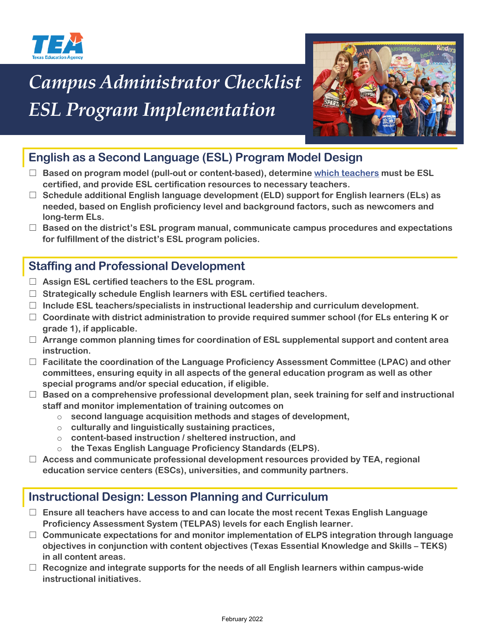

# *Campus Administrator Checklist ESL Program Implementation*



# **English as a Second Language (ESL) Program Model Design**

- ☐ **Based on program model (pull-out or content-based), determine [which teachers](https://tea.texas.gov/sites/default/files/ESL%20Waiver%20Scenario%20Chain%202019_2020%20update.pdf) must be ESL certified, and provide ESL certification resources to necessary teachers.**
- ☐ **Schedule additional English language development (ELD) support for English learners (ELs) as needed, based on English proficiency level and background factors, such as newcomers and long-term ELs.**
- ☐ **Based on the district's ESL program manual, communicate campus procedures and expectations for fulfillment of the district's ESL program policies.**

## **Staffing and Professional Development**

- ☐ **Assign ESL certified teachers to the ESL program.**
- ☐ **Strategically schedule English learners with ESL certified teachers.**
- ☐ **Include ESL teachers/specialists in instructional leadership and curriculum development.**
- ☐ **Coordinate with district administration to provide required summer school (for ELs entering K or grade 1), if applicable.**
- ☐ **Arrange common planning times for coordination of ESL supplemental support and content area instruction.**
- ☐ **Facilitate the coordination of the Language Proficiency Assessment Committee (LPAC) and other committees, ensuring equity in all aspects of the general education program as well as other special programs and/or special education, if eligible.**
- ☐ **Based on a comprehensive professional development plan, seek training for self and instructional staff and monitor implementation of training outcomes on**
	- o **second language acquisition methods and stages of development,**
	- o **culturally and linguistically sustaining practices,**
	- o **content-based instruction / sheltered instruction, and**
	- o **the Texas English Language Proficiency Standards (ELPS).**
- ☐ **Access and communicate professional development resources provided by TEA, regional education service centers (ESCs), universities, and community partners.**

# **Instructional Design: Lesson Planning and Curriculum**

- ☐ **Ensure all teachers have access to and can locate the most recent Texas English Language Proficiency Assessment System (TELPAS) levels for each English learner.**
- ☐ **Communicate expectations for and monitor implementation of ELPS integration through language objectives in conjunction with content objectives (Texas Essential Knowledge and Skills – TEKS) in all content areas.**
- ☐ **Recognize and integrate supports for the needs of all English learners within campus-wide instructional initiatives.**